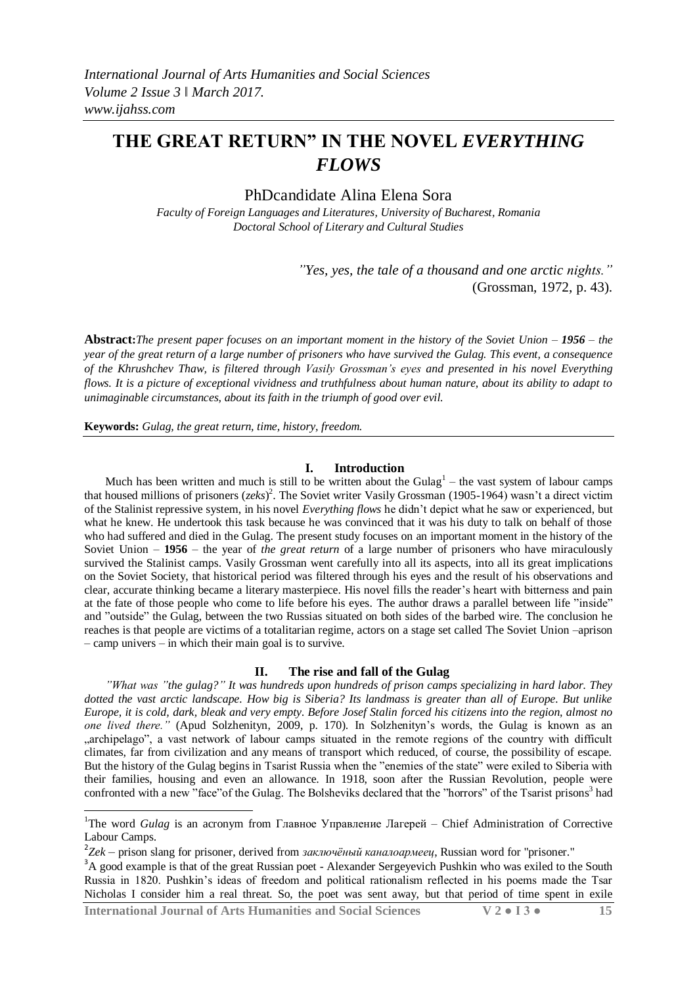PhDcandidate Alina Elena Sora

*Faculty of Foreign Languages and Literatures, University of Bucharest, Romania Doctoral School of Literary and Cultural Studies*

> *"Yes, yes, the tale of a thousand and one arctic nights."* (Grossman, 1972, p. 43).

**Abstract:***The present paper focuses on an important moment in the history of the Soviet Union – 1956 – the year of the great return of a large number of prisoners who have survived the Gulag. This event, a consequence of the Khrushchev Thaw, is filtered through Vasily Grossman's eyes and presented in his novel Everything flows. It is a picture of exceptional vividness and truthfulness about human nature, about its ability to adapt to unimaginable circumstances, about its faith in the triumph of good over evil.*

**Keywords:** *Gulag, the great return, time, history, freedom.* 

#### **I. Introduction**

Much has been written and much is still to be written about the Gulag<sup>1</sup> – the vast system of labour camps that housed millions of prisoners (*zeks*) 2 . The Soviet writer Vasily Grossman (1905-1964) wasn't a direct victim of the Stalinist repressive system, in his novel *Everything flows* he didn't depict what he saw or experienced, but what he knew. He undertook this task because he was convinced that it was his duty to talk on behalf of those who had suffered and died in the Gulag. The present study focuses on an important moment in the history of the Soviet Union – **1956** – the year of *the great return* of a large number of prisoners who have miraculously survived the Stalinist camps. Vasily Grossman went carefully into all its aspects, into all its great implications on the Soviet Society, that historical period was filtered through his eyes and the result of his observations and clear, accurate thinking became a literary masterpiece. His novel fills the reader's heart with bitterness and pain at the fate of those people who come to life before his eyes. The author draws a parallel between life "inside" and "outside" the Gulag, between the two Russias situated on both sides of the barbed wire. The conclusion he reaches is that people are victims of a totalitarian regime, actors on a stage set called The Soviet Union –aprison – camp univers – in which their main goal is to survive.

#### **II. The rise and fall of the Gulag**

*"What was "the gulag?" It was hundreds upon hundreds of prison camps specializing in hard labor. They dotted the vast arctic landscape. How big is Siberia? Its landmass is greater than all of Europe. But unlike Europe, it is cold, dark, bleak and very empty. Before Josef Stalin forced his citizens into the region, almost no one lived there."* (Apud Solzhenityn, 2009, p. 170). In Solzhenityn's words, the Gulag is known as an ...archipelago", a vast network of labour camps situated in the remote regions of the country with difficult climates, far from civilization and any means of transport which reduced, of course, the possibility of escape. But the history of the Gulag begins in Tsarist Russia when the "enemies of the state" were exiled to Siberia with their families, housing and even an allowance. In 1918, soon after the Russian Revolution, people were confronted with a new "face" of the Gulag. The Bolsheviks declared that the "horrors" of the Tsarist prisons<sup>3</sup> had

**International Journal of Arts Humanities and Social Sciences V 2 ● I 3 ● 15**

**.** 

<sup>&</sup>lt;sup>1</sup>The word *Gulag* is an acronym from Главное Управление Лагерей – Chief Administration of Corrective Labour Camps.

<sup>2</sup> *Zek* – prison slang for prisoner, derived from *заключѐный каналоармеец*, Russian word for "prisoner."

<sup>&</sup>lt;sup>3</sup>A good example is that of the great Russian poet - Alexander Sergeyevich Pushkin who was exiled to the South Russia in 1820. Pushkin's ideas of freedom and political rationalism reflected in his poems made the Tsar Nicholas I consider him a real threat. So, the poet was sent away, but that period of time spent in exile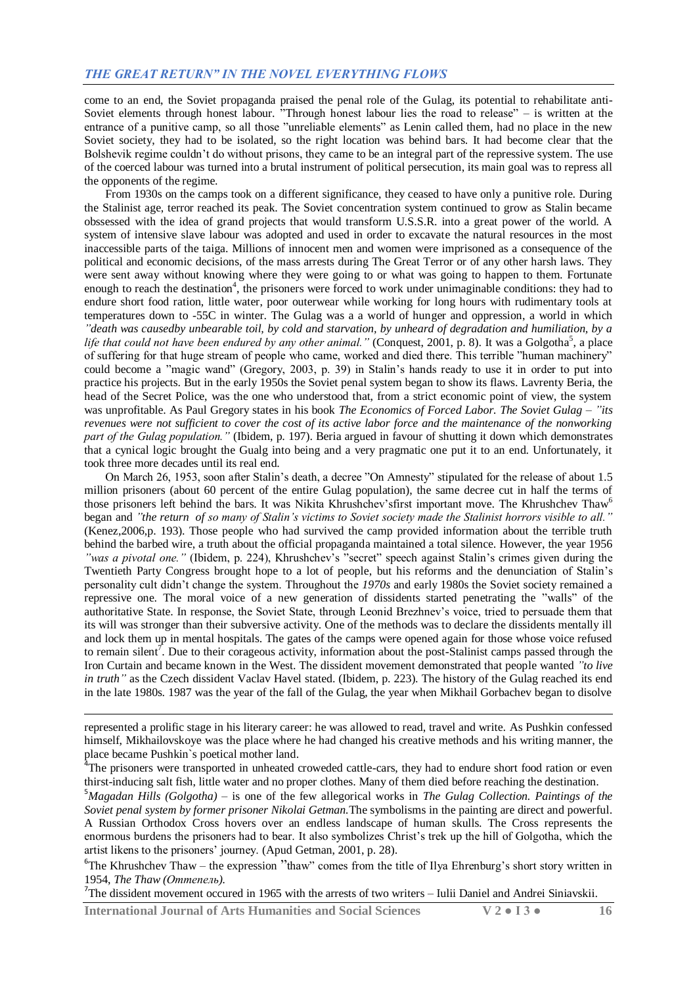come to an end, the Soviet propaganda praised the penal role of the Gulag, its potential to rehabilitate anti-Soviet elements through honest labour. "Through honest labour lies the road to release" – is written at the entrance of a punitive camp, so all those "unreliable elements" as Lenin called them, had no place in the new Soviet society, they had to be isolated, so the right location was behind bars. It had become clear that the Bolshevik regime couldn't do without prisons, they came to be an integral part of the repressive system. The use of the coerced labour was turned into a brutal instrument of political persecution, its main goal was to repress all the opponents of the regime.

From 1930s on the camps took on a different significance, they ceased to have only a punitive role. During the Stalinist age, terror reached its peak. The Soviet concentration system continued to grow as Stalin became obssessed with the idea of grand projects that would transform U.S.S.R. into a great power of the world. A system of intensive slave labour was adopted and used in order to excavate the natural resources in the most inaccessible parts of the taiga. Millions of innocent men and women were imprisoned as a consequence of the political and economic decisions, of the mass arrests during The Great Terror or of any other harsh laws. They were sent away without knowing where they were going to or what was going to happen to them. Fortunate enough to reach the destination<sup>4</sup>, the prisoners were forced to work under unimaginable conditions: they had to endure short food ration, little water, poor outerwear while working for long hours with rudimentary tools at temperatures down to -55C in winter. The Gulag was a a world of hunger and oppression, a world in which *"death was causedby unbearable toil, by cold and starvation, by unheard of degradation and humiliation, by a*  life that could not have been endured by any other animal." (Conquest, 2001, p. 8). It was a Golgotha<sup>5</sup>, a place of suffering for that huge stream of people who came, worked and died there. This terrible "human machinery" could become a "magic wand" (Gregory, 2003, p. 39) in Stalin's hands ready to use it in order to put into practice his projects. But in the early 1950s the Soviet penal system began to show its flaws. Lavrenty Beria, the head of the Secret Police, was the one who understood that, from a strict economic point of view, the system was unprofitable. As Paul Gregory states in his book *The Economics of Forced Labor. The Soviet Gulag* – *"its revenues were not sufficient to cover the cost of its active labor force and the maintenance of the nonworking part of the Gulag population."* (Ibidem, p. 197). Beria argued in favour of shutting it down which demonstrates that a cynical logic brought the Gualg into being and a very pragmatic one put it to an end. Unfortunately, it took three more decades until its real end.

On March 26, 1953, soon after Stalin's death, a decree "On Amnesty" stipulated for the release of about 1.5 million prisoners (about 60 percent of the entire Gulag population), the same decree cut in half the terms of those prisoners left behind the bars. It was Nikita Khrushchev'sfirst important move. The Khrushchev Thaw<sup>6</sup> began and *"the return of so many of Stalin's victims to Soviet society made the Stalinist horrors visible to all."*  (Kenez,2006,p. 193). Those people who had survived the camp provided information about the terrible truth behind the barbed wire, a truth about the official propaganda maintained a total silence. However, the year 1956 *"was a pivotal one."* (Ibidem, p. 224), Khrushchev's "secret" speech against Stalin's crimes given during the Twentieth Party Congress brought hope to a lot of people, but his reforms and the denunciation of Stalin's personality cult didn't change the system. Throughout the *1970s* and early 1980s the Soviet society remained a repressive one. The moral voice of a new generation of dissidents started penetrating the "walls" of the authoritative State. In response, the Soviet State, through Leonid Brezhnev's voice, tried to persuade them that its will was stronger than their subversive activity. One of the methods was to declare the dissidents mentally ill and lock them up in mental hospitals. The gates of the camps were opened again for those whose voice refused to remain silent<sup>7</sup>. Due to their corageous activity, information about the post-Stalinist camps passed through the Iron Curtain and became known in the West. The dissident movement demonstrated that people wanted *"to live in truth*" as the Czech dissident Vaclav Havel stated. (Ibidem, p. 223). The history of the Gulag reached its end in the late 1980s. 1987 was the year of the fall of the Gulag, the year when Mikhail Gorbachev began to disolve

<sup>7</sup>The dissident movement occured in 1965 with the arrests of two writers – Iulii Daniel and Andrei Siniavskii.

**International Journal of Arts Humanities and Social Sciences V 2 ● I 3 ● 16**

1

represented a prolific stage in his literary career: he was allowed to read, travel and write. As Pushkin confessed himself, Mikhailovskoye was the place where he had changed his creative methods and his writing manner, the place became Pushkin`s poetical mother land.

 $\sigma$ <sup>4</sup>The prisoners were transported in unheated croweded cattle-cars, they had to endure short food ration or even thirst-inducing salt fish, little water and no proper clothes. Many of them died before reaching the destination.

<sup>5</sup>*Magadan Hills (Golgotha)* – is one of the few allegorical works in *The Gulag Collection. Paintings of the Soviet penal system by former prisoner Nikolai Getman.*The symbolisms in the painting are direct and powerful. A Russian Orthodox Cross hovers over an endless landscape of human skulls. The Cross represents the enormous burdens the prisoners had to bear. It also symbolizes Christ's trek up the hill of Golgotha, which the artist likens to the prisoners' journey. (Apud Getman, 2001, p. 28).

<sup>&</sup>lt;sup>6</sup>The Khrushchev Thaw – the expression "thaw" comes from the title of Ilya Ehrenburg's short story written in 1954, *The Thaw (Оттепель).*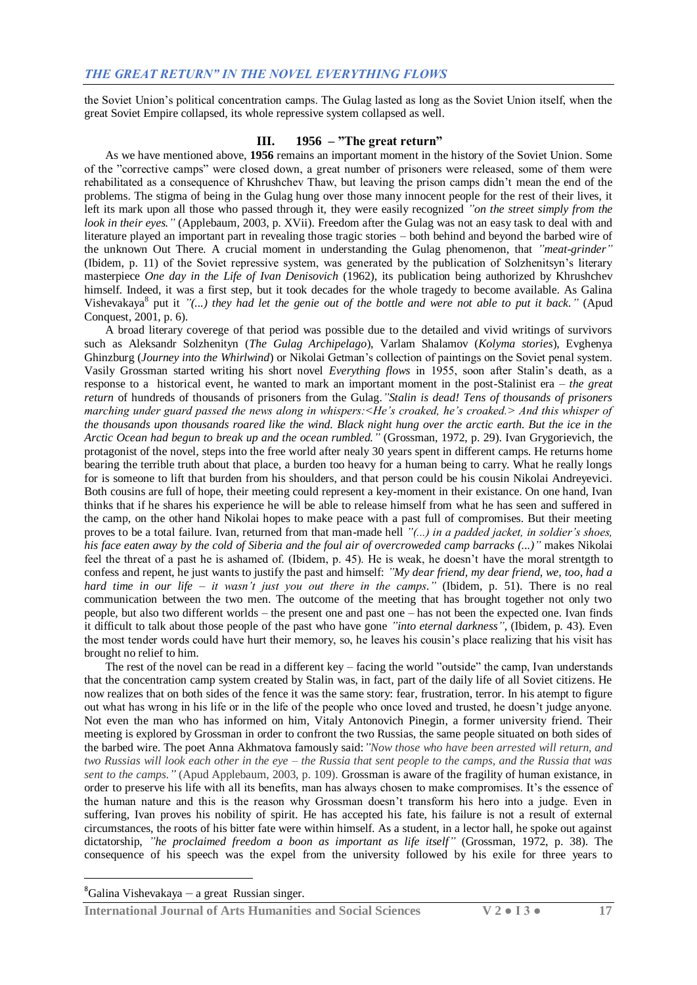the Soviet Union's political concentration camps. The Gulag lasted as long as the Soviet Union itself, when the great Soviet Empire collapsed, its whole repressive system collapsed as well.

## **III. 1956 – "The great return"**

As we have mentioned above, **1956** remains an important moment in the history of the Soviet Union. Some of the "corrective camps" were closed down, a great number of prisoners were released, some of them were rehabilitated as a consequence of Khrushchev Thaw, but leaving the prison camps didn't mean the end of the problems. The stigma of being in the Gulag hung over those many innocent people for the rest of their lives, it left its mark upon all those who passed through it, they were easily recognized *"on the street simply from the look in their eyes."* (Applebaum, 2003, p. XVii). Freedom after the Gulag was not an easy task to deal with and literature played an important part in revealing those tragic stories – both behind and beyond the barbed wire of the unknown Out There. A crucial moment in understanding the Gulag phenomenon, that *"meat-grinder"* (Ibidem, p. 11) of the Soviet repressive system, was generated by the publication of Solzhenitsyn's literary masterpiece *One day in the Life of Ivan Denisovich* (1962)*,* its publication being authorized by Khrushchev himself. Indeed, it was a first step, but it took decades for the whole tragedy to become available. As Galina Vishevakaya<sup>8</sup> put it "(...) they had let the genie out of the bottle and were not able to put it back." (Apud Conquest, 2001, p. 6).

A broad literary coverege of that period was possible due to the detailed and vivid writings of survivors such as Aleksandr Solzhenityn (*The Gulag Archipelago*), Varlam Shalamov (*Kolyma stories*), Evghenya Ghinzburg (*Journey into the Whirlwind*) or Nikolai Getman's collection of paintings on the Soviet penal system. Vasily Grossman started writing his short novel *Everything flows* in 1955, soon after Stalin's death, as a response to a historical event, he wanted to mark an important moment in the post-Stalinist era – *the great return* of hundreds of thousands of prisoners from the Gulag*."Stalin is dead! Tens of thousands of prisoners marching under guard passed the news along in whispers:<He's croaked, he's croaked.> And this whisper of the thousands upon thousands roared like the wind. Black night hung over the arctic earth. But the ice in the Arctic Ocean had begun to break up and the ocean rumbled."* (Grossman, 1972, p. 29). Ivan Grygorievich, the protagonist of the novel, steps into the free world after nealy 30 years spent in different camps. He returns home bearing the terrible truth about that place, a burden too heavy for a human being to carry. What he really longs for is someone to lift that burden from his shoulders, and that person could be his cousin Nikolai Andreyevici. Both cousins are full of hope, their meeting could represent a key-moment in their existance. On one hand, Ivan thinks that if he shares his experience he will be able to release himself from what he has seen and suffered in the camp, on the other hand Nikolai hopes to make peace with a past full of compromises. But their meeting proves to be a total failure. Ivan, returned from that man-made hell *"(...) in a padded jacket, in soldier's shoes, his face eaten away by the cold of Siberia and the foul air of overcroweded camp barracks (...)"* makes Nikolai feel the threat of a past he is ashamed of. (Ibidem, p. 45). He is weak, he doesn't have the moral strentgth to confess and repent, he just wants to justify the past and himself: *"My dear friend, my dear friend, we, too, had a hard time in our life* – *it wasn't just you out there in the camps."* (Ibidem, p. 51). There is no real communication between the two men. The outcome of the meeting that has brought together not only two people, but also two different worlds – the present one and past one – has not been the expected one. Ivan finds it difficult to talk about those people of the past who have gone *"into eternal darkness"*, (Ibidem, p. 43). Even the most tender words could have hurt their memory, so, he leaves his cousin's place realizing that his visit has brought no relief to him.

The rest of the novel can be read in a different key – facing the world "outside" the camp, Ivan understands that the concentration camp system created by Stalin was, in fact, part of the daily life of all Soviet citizens. He now realizes that on both sides of the fence it was the same story: fear, frustration, terror. In his atempt to figure out what has wrong in his life or in the life of the people who once loved and trusted, he doesn't judge anyone. Not even the man who has informed on him, Vitaly Antonovich Pinegin, a former university friend. Their meeting is explored by Grossman in order to confront the two Russias, the same people situated on both sides of the barbed wire. The poet Anna Akhmatova famously said:*"Now those who have been arrested will return, and two Russias will look each other in the eye – the Russia that sent people to the camps, and the Russia that was sent to the camps."* (Apud Applebaum, 2003, p. 109). Grossman is aware of the fragility of human existance, in order to preserve his life with all its benefits, man has always chosen to make compromises. It's the essence of the human nature and this is the reason why Grossman doesn't transform his hero into a judge. Even in suffering, Ivan proves his nobility of spirit. He has accepted his fate, his failure is not a result of external circumstances, the roots of his bitter fate were within himself. As a student, in a lector hall, he spoke out against dictatorship, *"he proclaimed freedom a boon as important as life itself"* (Grossman, 1972, p. 38). The consequence of his speech was the expel from the university followed by his exile for three years to

 ${}^{8}$ Galina Vishevakaya – a great Russian singer.

1

**International Journal of Arts Humanities and Social Sciences V 2 ● I 3 ● 17**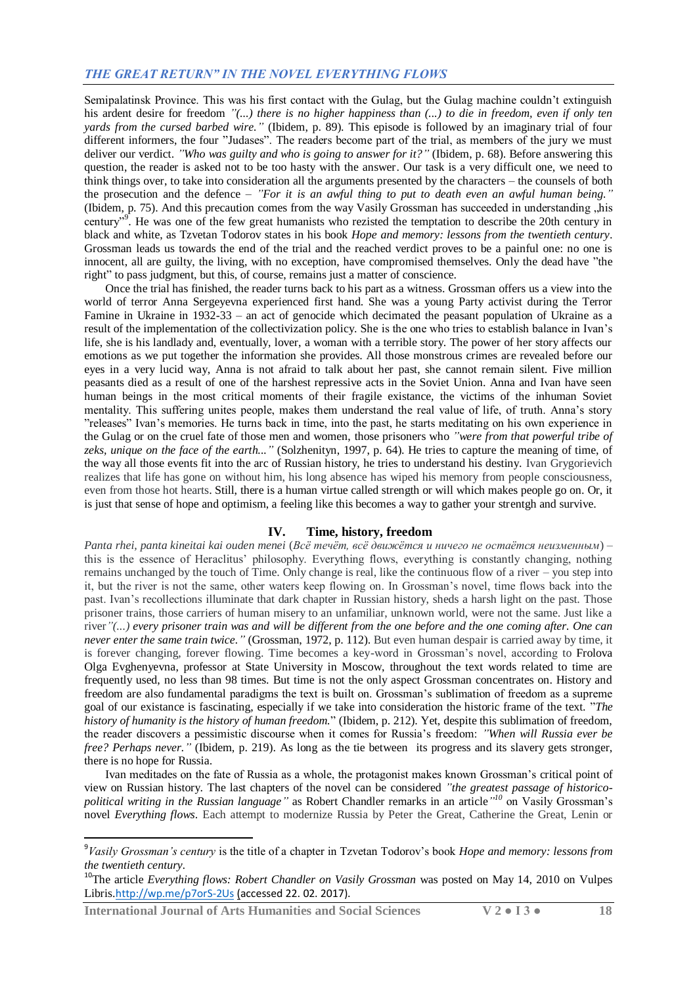Semipalatinsk Province. This was his first contact with the Gulag, but the Gulag machine couldn't extinguish his ardent desire for freedom  $\degree$ (...) there is no higher happiness than (...) to die in freedom, even if only ten *yards from the cursed barbed wire."* (Ibidem, p. 89). This episode is followed by an imaginary trial of four different informers, the four "Judases". The readers become part of the trial, as members of the jury we must deliver our verdict. *"Who was guilty and who is going to answer for it?"* (Ibidem, p. 68). Before answering this question, the reader is asked not to be too hasty with the answer. Our task is a very difficult one, we need to think things over, to take into consideration all the arguments presented by the characters – the counsels of both the prosecution and the defence – *"For it is an awful thing to put to death even an awful human being."* (Ibidem, p. 75). And this precaution comes from the way Vasily Grossman has succeeded in understanding "his century"<sup>9</sup>. He was one of the few great humanists who rezisted the temptation to describe the 20th century in black and white, as Tzvetan Todorov states in his book *Hope and memory: lessons from the twentieth century*. Grossman leads us towards the end of the trial and the reached verdict proves to be a painful one: no one is innocent, all are guilty, the living, with no exception, have compromised themselves. Only the dead have "the right" to pass judgment, but this, of course, remains just a matter of conscience.

Once the trial has finished, the reader turns back to his part as a witness. Grossman offers us a view into the world of terror Anna Sergeyevna experienced first hand. She was a young Party activist during the Terror Famine in Ukraine in 1932-33 – an act of genocide which decimated the peasant population of Ukraine as a result of the implementation of the collectivization policy. She is the one who tries to establish balance in Ivan's life, she is his landlady and, eventually, lover, a woman with a terrible story. The power of her story affects our emotions as we put together the information she provides. All those monstrous crimes are revealed before our eyes in a very lucid way, Anna is not afraid to talk about her past, she cannot remain silent. Five million peasants died as a result of one of the harshest repressive acts in the Soviet Union. Anna and Ivan have seen human beings in the most critical moments of their fragile existance, the victims of the inhuman Soviet mentality. This suffering unites people, makes them understand the real value of life, of truth. Anna's story "releases" Ivan's memories. He turns back in time, into the past, he starts meditating on his own experience in the Gulag or on the cruel fate of those men and women, those prisoners who *"were from that powerful tribe of zeks, unique on the face of the earth..."* (Solzhenityn, 1997, p. 64). He tries to capture the meaning of time, of the way all those events fit into the arc of Russian history, he tries to understand his destiny. Ivan Grygorievich realizes that life has gone on without him, his long absence has wiped his memory from people consciousness, even from those hot hearts. Still, there is a human virtue called strength or will which makes people go on. Or, it is just that sense of hope and optimism, a feeling like this becomes a way to gather your strentgh and survive.

## **IV. Time, history, freedom**

*Panta rhei, panta kineitai kai ouden menei* (*Всѐ течѐт, всѐ движѐтся и ничего не остаѐтся неизменным*) – this is the essence of Heraclitus' philosophy. Everything flows, everything is constantly changing, nothing remains unchanged by the touch of Time. Only change is real, like the continuous flow of a river – you step into it, but the river is not the same, other waters keep flowing on. In Grossman's novel, time flows back into the past. Ivan's recollections illuminate that dark chapter in Russian history, sheds a harsh light on the past. Those prisoner trains, those carriers of human misery to an unfamiliar, unknown world, were not the same. Just like a river*"(...) every prisoner train was and will be different from the one before and the one coming after. One can never enter the same train twice."* (Grossman, 1972, p. 112). But even human despair is carried away by time, it is forever changing, forever flowing. Time becomes a key-word in Grossman's novel, according to Frolova Olga Evghenyevna, professor at State University in Moscow, throughout the text words related to time are frequently used, no less than 98 times. But time is not the only aspect Grossman concentrates on. History and freedom are also fundamental paradigms the text is built on. Grossman's sublimation of freedom as a supreme goal of our existance is fascinating, especially if we take into consideration the historic frame of the text. "*The history of humanity is the history of human freedom.*" (Ibidem, p. 212). Yet, despite this sublimation of freedom, the reader discovers a pessimistic discourse when it comes for Russia's freedom: *"When will Russia ever be free? Perhaps never."* (Ibidem, p. 219). As long as the tie between its progress and its slavery gets stronger, there is no hope for Russia.

Ivan meditades on the fate of Russia as a whole, the protagonist makes known Grossman's critical point of view on Russian history. The last chapters of the novel can be considered *"the greatest passage of historicopolitical writing in the Russian language"* as Robert Chandler remarks in an article*" <sup>10</sup>* on Vasily Grossman's novel *Everything flows*. Each attempt to modernize Russia by Peter the Great, Catherine the Great, Lenin or

**.** 

<sup>9</sup> *Vasily Grossman's century* is the title of a chapter in Tzvetan Todorov's book *Hope and memory: lessons from the twentieth century.*

<sup>&</sup>lt;sup>10</sup>The article *Everything flows: Robert Chandler on Vasily Grossman* was posted on May 14, 2010 on Vulpes Libris.<http://wp.me/p7orS-2Us> (accessed 22. 02. 2017).

**International Journal of Arts Humanities and Social Sciences V 2 ● I 3 ● 18**